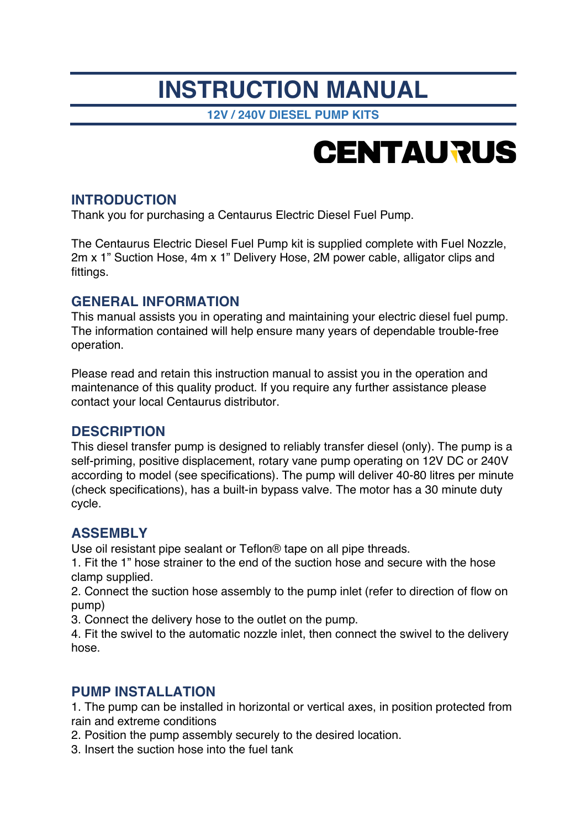## **INSTRUCTION MANUAL**

**12V / 240V DIESEL PUMP KITS**

# **CENTAURUS**

#### **INTRODUCTION**

Thank you for purchasing a Centaurus Electric Diesel Fuel Pump.

The Centaurus Electric Diesel Fuel Pump kit is supplied complete with Fuel Nozzle, 2m x 1" Suction Hose, 4m x 1" Delivery Hose, 2M power cable, alligator clips and fittings.

#### **GENERAL INFORMATION**

This manual assists you in operating and maintaining your electric diesel fuel pump. The information contained will help ensure many years of dependable trouble-free operation.

Please read and retain this instruction manual to assist you in the operation and maintenance of this quality product. If you require any further assistance please contact your local Centaurus distributor.

#### **DESCRIPTION**

This diesel transfer pump is designed to reliably transfer diesel (only). The pump is a self-priming, positive displacement, rotary vane pump operating on 12V DC or 240V according to model (see specifications). The pump will deliver 40-80 litres per minute (check specifications), has a built-in bypass valve. The motor has a 30 minute duty cycle.

#### **ASSEMBLY**

Use oil resistant pipe sealant or Teflon® tape on all pipe threads.

1. Fit the 1" hose strainer to the end of the suction hose and secure with the hose clamp supplied.

2. Connect the suction hose assembly to the pump inlet (refer to direction of flow on pump)

3. Connect the delivery hose to the outlet on the pump.

4. Fit the swivel to the automatic nozzle inlet, then connect the swivel to the delivery hose.

#### **PUMP INSTALLATION**

1. The pump can be installed in horizontal or vertical axes, in position protected from rain and extreme conditions

2. Position the pump assembly securely to the desired location.

3. Insert the suction hose into the fuel tank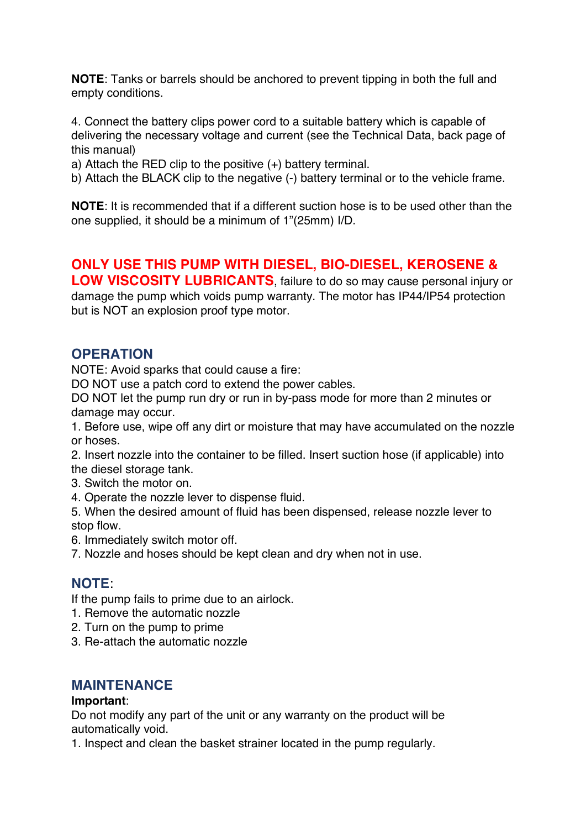**NOTE**: Tanks or barrels should be anchored to prevent tipping in both the full and empty conditions.

4. Connect the battery clips power cord to a suitable battery which is capable of delivering the necessary voltage and current (see the Technical Data, back page of this manual)

a) Attach the RED clip to the positive (+) battery terminal.

b) Attach the BLACK clip to the negative (-) battery terminal or to the vehicle frame.

**NOTE**: It is recommended that if a different suction hose is to be used other than the one supplied, it should be a minimum of 1"(25mm) I/D.

#### **ONLY USE THIS PUMP WITH DIESEL, BIO-DIESEL, KEROSENE &**

**LOW VISCOSITY LUBRICANTS**, failure to do so may cause personal injury or damage the pump which voids pump warranty. The motor has IP44/IP54 protection but is NOT an explosion proof type motor.

#### **OPERATION**

NOTE: Avoid sparks that could cause a fire:

DO NOT use a patch cord to extend the power cables.

DO NOT let the pump run dry or run in by-pass mode for more than 2 minutes or damage may occur.

1. Before use, wipe off any dirt or moisture that may have accumulated on the nozzle or hoses.

2. Insert nozzle into the container to be filled. Insert suction hose (if applicable) into the diesel storage tank.

- 3. Switch the motor on.
- 4. Operate the nozzle lever to dispense fluid.

5. When the desired amount of fluid has been dispensed, release nozzle lever to stop flow.

6. Immediately switch motor off.

7. Nozzle and hoses should be kept clean and dry when not in use.

#### **NOTE**:

If the pump fails to prime due to an airlock.

- 1. Remove the automatic nozzle
- 2. Turn on the pump to prime
- 3. Re-attach the automatic nozzle

#### **MAINTENANCE**

#### **Important**:

Do not modify any part of the unit or any warranty on the product will be automatically void.

1. Inspect and clean the basket strainer located in the pump regularly.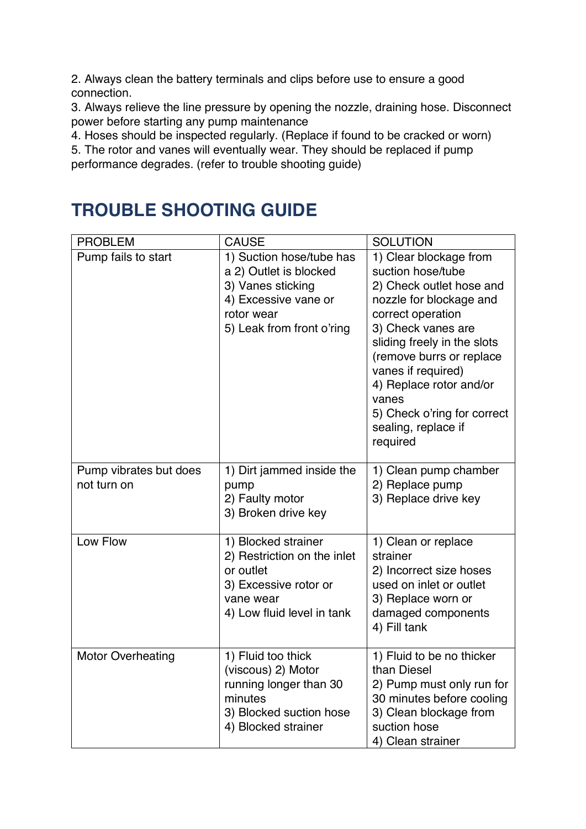2. Always clean the battery terminals and clips before use to ensure a good connection.

3. Always relieve the line pressure by opening the nozzle, draining hose. Disconnect power before starting any pump maintenance

4. Hoses should be inspected regularly. (Replace if found to be cracked or worn)

5. The rotor and vanes will eventually wear. They should be replaced if pump performance degrades. (refer to trouble shooting guide)

### **TROUBLE SHOOTING GUIDE**

| <b>PROBLEM</b>                        | <b>CAUSE</b>                                                                                                                               | <b>SOLUTION</b>                                                                                                                                                                                                                                                                                                                      |
|---------------------------------------|--------------------------------------------------------------------------------------------------------------------------------------------|--------------------------------------------------------------------------------------------------------------------------------------------------------------------------------------------------------------------------------------------------------------------------------------------------------------------------------------|
| Pump fails to start                   | 1) Suction hose/tube has<br>a 2) Outlet is blocked<br>3) Vanes sticking<br>4) Excessive vane or<br>rotor wear<br>5) Leak from front o'ring | 1) Clear blockage from<br>suction hose/tube<br>2) Check outlet hose and<br>nozzle for blockage and<br>correct operation<br>3) Check vanes are<br>sliding freely in the slots<br>(remove burrs or replace<br>vanes if required)<br>4) Replace rotor and/or<br>vanes<br>5) Check o'ring for correct<br>sealing, replace if<br>required |
| Pump vibrates but does<br>not turn on | 1) Dirt jammed inside the<br>pump<br>2) Faulty motor<br>3) Broken drive key                                                                | 1) Clean pump chamber<br>2) Replace pump<br>3) Replace drive key                                                                                                                                                                                                                                                                     |
| Low Flow                              | 1) Blocked strainer<br>2) Restriction on the inlet<br>or outlet<br>3) Excessive rotor or<br>vane wear<br>4) Low fluid level in tank        | 1) Clean or replace<br>strainer<br>2) Incorrect size hoses<br>used on inlet or outlet<br>3) Replace worn or<br>damaged components<br>4) Fill tank                                                                                                                                                                                    |
| <b>Motor Overheating</b>              | 1) Fluid too thick<br>(viscous) 2) Motor<br>running longer than 30<br>minutes<br>3) Blocked suction hose<br>4) Blocked strainer            | 1) Fluid to be no thicker<br>than Diesel<br>2) Pump must only run for<br>30 minutes before cooling<br>3) Clean blockage from<br>suction hose<br>4) Clean strainer                                                                                                                                                                    |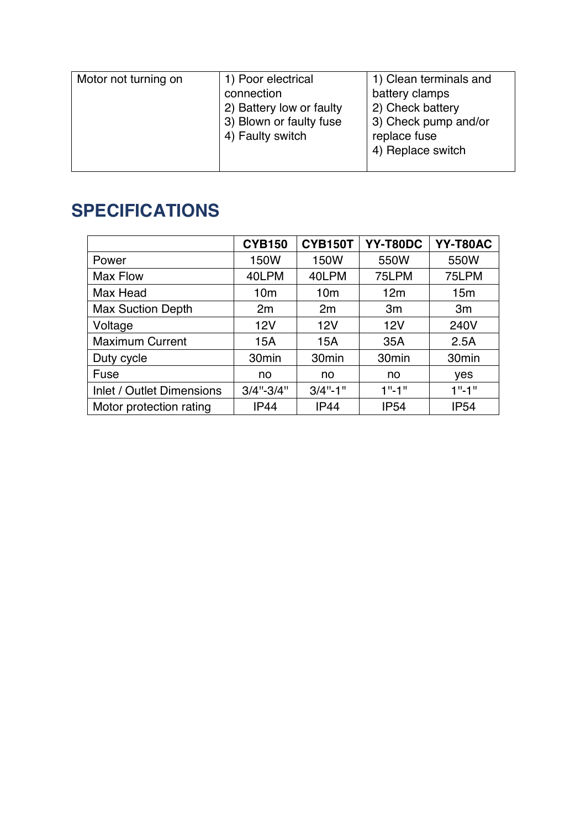| Motor not turning on | 1) Poor electrical<br>connection<br>2) Battery low or faulty<br>3) Blown or faulty fuse<br>4) Faulty switch | 1) Clean terminals and<br>battery clamps<br>2) Check battery<br>3) Check pump and/or<br>replace fuse<br>4) Replace switch |
|----------------------|-------------------------------------------------------------------------------------------------------------|---------------------------------------------------------------------------------------------------------------------------|
|                      |                                                                                                             |                                                                                                                           |

## **SPECIFICATIONS**

|                                  | <b>CYB150</b>     | <b>CYB150T</b>    | YY-T80DC          | YY-T80AC          |
|----------------------------------|-------------------|-------------------|-------------------|-------------------|
| Power                            | 150W              | 150W              | 550W              | 550W              |
| Max Flow                         | 40LPM             | 40LPM             | 75LPM             | 75LPM             |
| Max Head                         | 10 <sub>m</sub>   | 10 <sub>m</sub>   | 12m               | 15 <sub>m</sub>   |
| <b>Max Suction Depth</b>         | 2m                | 2m                | 3m                | 3m                |
| Voltage                          | 12V               | 12V               | 12V               | 240V              |
| <b>Maximum Current</b>           | 15A               | 15A               | 35A               | 2.5A              |
| Duty cycle                       | 30 <sub>min</sub> | 30 <sub>min</sub> | 30 <sub>min</sub> | 30 <sub>min</sub> |
| Fuse                             | no                | no                | no                | yes               |
| <b>Inlet / Outlet Dimensions</b> | $3/4$ "- $3/4$ "  | $3/4$ "-1"        | $1" - 1"$         | $1" - 1"$         |
| Motor protection rating          | <b>IP44</b>       | <b>IP44</b>       | <b>IP54</b>       | <b>IP54</b>       |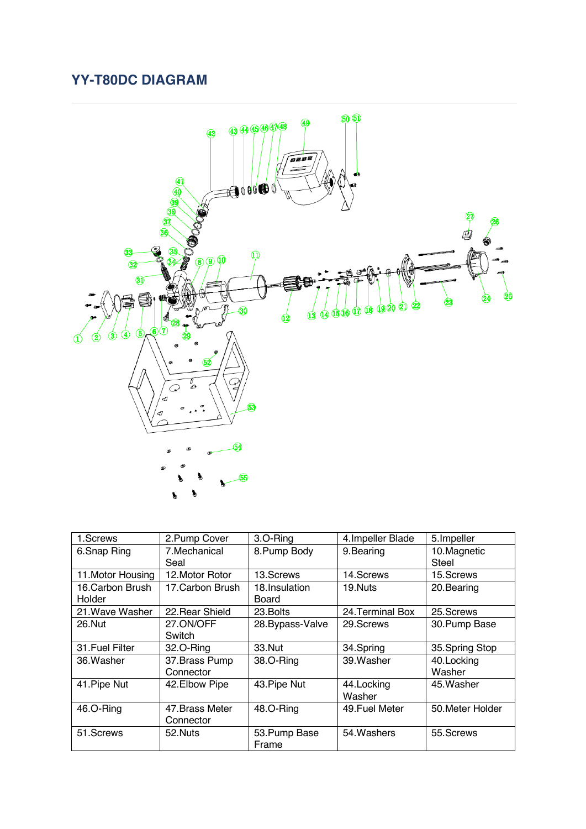#### **YY-T80DC DIAGRAM**



| 1.Screws          | 2. Pump Cover    | 3.O-Ring         | 4. Impeller Blade | 5. Impeller      |
|-------------------|------------------|------------------|-------------------|------------------|
| 6.Snap Ring       | 7.Mechanical     | 8. Pump Body     | 9.Bearing         | 10. Magnetic     |
|                   | Seal             |                  |                   | Steel            |
| 11. Motor Housing | 12. Motor Rotor  | 13.Screws        | 14.Screws         | 15.Screws        |
| 16. Carbon Brush  | 17. Carbon Brush | 18. Insulation   | 19.Nuts           | 20. Bearing      |
| Holder            |                  | Board            |                   |                  |
| 21. Wave Washer   | 22 Rear Shield   | 23. Bolts        | 24 Terminal Box   | 25. Screws       |
| 26.Nut            | 27.ON/OFF        | 28. Bypass-Valve | 29. Screws        | 30. Pump Base    |
|                   | Switch           |                  |                   |                  |
| 31. Fuel Filter   | 32.O-Ring        | 33. Nut          | 34.Spring         | 35. Spring Stop  |
| 36. Washer        | 37. Brass Pump   | 38.O-Ring        | 39. Washer        | 40. Locking      |
|                   | Connector        |                  |                   | Washer           |
| 41. Pipe Nut      | 42. Elbow Pipe   | 43. Pipe Nut     | 44. Locking       | 45. Washer       |
|                   |                  |                  | Washer            |                  |
| 46.O-Ring         | 47. Brass Meter  | 48.O-Ring        | 49. Fuel Meter    | 50. Meter Holder |
|                   | Connector        |                  |                   |                  |
| 51.Screws         | 52.Nuts          | 53. Pump Base    | 54. Washers       | 55.Screws        |
|                   |                  | Frame            |                   |                  |